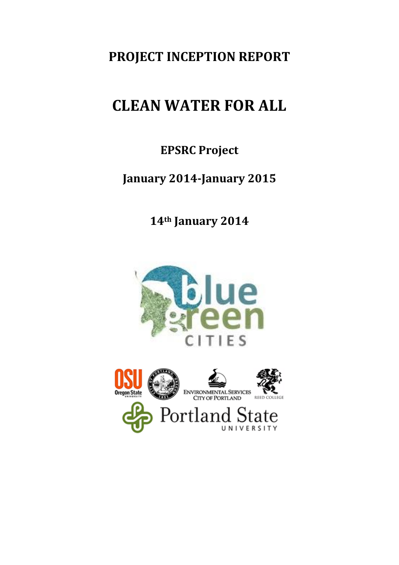# **PROJECT INCEPTION REPORT**

# **CLEAN WATER FOR ALL**

## **EPSRC Project**

## **January 2014-January 2015**

**14th January 2014**



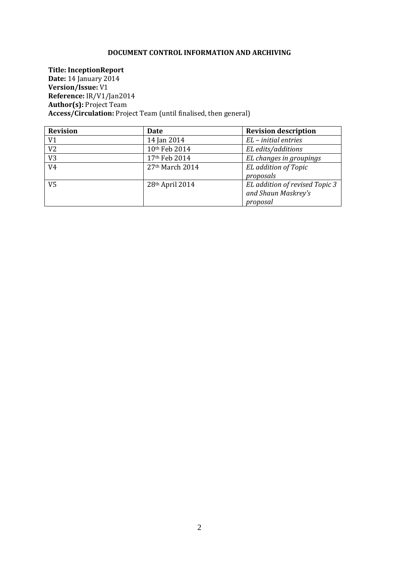#### **DOCUMENT CONTROL INFORMATION AND ARCHIVING**

**Title: InceptionReport Date:** 14 January 2014 **Version/Issue:** V1 **Reference:** IR/V1/Jan2014 **Author(s):** Project Team **Access/Circulation:** Project Team (until finalised, then general)

| <b>Revision</b> | Date              | <b>Revision description</b>    |
|-----------------|-------------------|--------------------------------|
| V <sub>1</sub>  | 14 Jan 2014       | $EL$ – initial entries         |
| V <sub>2</sub>  | 10th Feb 2014     | EL edits/additions             |
| V <sub>3</sub>  | 17th Feb 2014     | EL changes in groupings        |
| V <sub>4</sub>  | $27th$ March 2014 | EL addition of Topic           |
|                 |                   | proposals                      |
| V <sub>5</sub>  | 28th April 2014   | EL addition of revised Topic 3 |
|                 |                   | and Shaun Maskrey's            |
|                 |                   | proposal                       |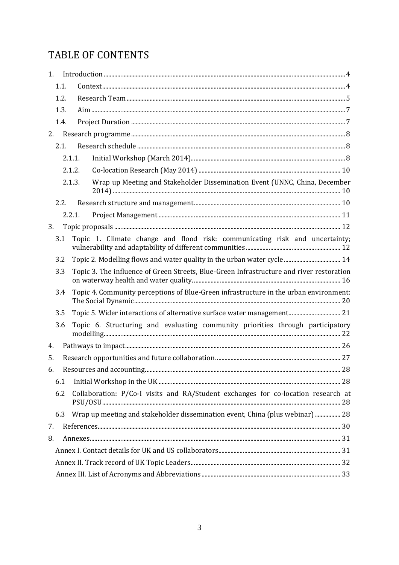## TABLE OF CONTENTS

| 1.  |      |                                                                                          |  |
|-----|------|------------------------------------------------------------------------------------------|--|
|     | 1.1. |                                                                                          |  |
|     | 1.2. |                                                                                          |  |
|     | 1.3. |                                                                                          |  |
|     | 1.4. |                                                                                          |  |
| 2.  |      |                                                                                          |  |
|     | 2.1. |                                                                                          |  |
|     |      | 2.1.1.                                                                                   |  |
|     |      | 2.1.2.                                                                                   |  |
|     |      | Wrap up Meeting and Stakeholder Dissemination Event (UNNC, China, December<br>2.1.3.     |  |
|     | 2.2. |                                                                                          |  |
|     |      | 2.2.1.                                                                                   |  |
| 3.  |      |                                                                                          |  |
| 3.1 |      | Topic 1. Climate change and flood risk: communicating risk and uncertainty;              |  |
| 3.2 |      |                                                                                          |  |
| 3.3 |      | Topic 3. The influence of Green Streets, Blue-Green Infrastructure and river restoration |  |
| 3.4 |      | Topic 4. Community perceptions of Blue-Green infrastructure in the urban environment:    |  |
| 3.5 |      | Topic 5. Wider interactions of alternative surface water management 21                   |  |
| 3.6 |      | Topic 6. Structuring and evaluating community priorities through participatory           |  |
| 4.  |      |                                                                                          |  |
| 5.  |      |                                                                                          |  |
|     |      |                                                                                          |  |
| 6.1 |      |                                                                                          |  |
| 6.2 |      | Collaboration: P/Co-I visits and RA/Student exchanges for co-location research at        |  |
| 6.3 |      | Wrap up meeting and stakeholder dissemination event, China (plus webinar) 28             |  |
| 7.  |      |                                                                                          |  |
| 8.  |      |                                                                                          |  |
|     |      |                                                                                          |  |
|     |      |                                                                                          |  |
|     |      |                                                                                          |  |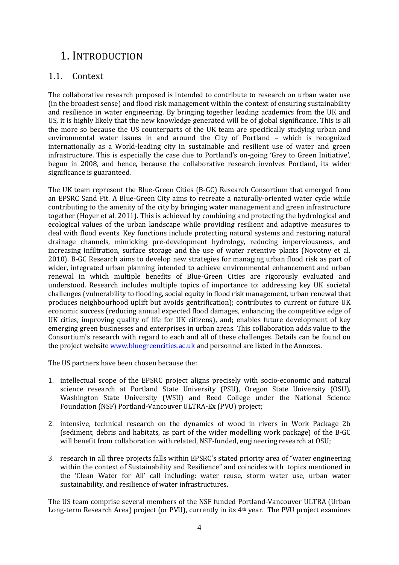## <span id="page-3-0"></span>1. INTRODUCTION

### <span id="page-3-1"></span>1.1. Context

The collaborative research proposed is intended to contribute to research on urban water use (in the broadest sense) and flood risk management within the context of ensuring sustainability and resilience in water engineering. By bringing together leading academics from the UK and US, it is highly likely that the new knowledge generated will be of global significance. This is all the more so because the US counterparts of the UK team are specifically studying urban and environmental water issues in and around the City of Portland – which is recognized internationally as a World-leading city in sustainable and resilient use of water and green infrastructure. This is especially the case due to Portland's on-going 'Grey to Green Initiative', begun in 2008, and hence, because the collaborative research involves Portland, its wider significance is guaranteed.

The UK team represent the Blue-Green Cities (B-GC) Research Consortium that emerged from an EPSRC Sand Pit. A Blue-Green City aims to recreate a naturally-oriented water cycle while contributing to the amenity of the city by bringing water management and green infrastructure together (Hoyer et al. 2011). This is achieved by combining and protecting the hydrological and ecological values of the urban landscape while providing resilient and adaptive measures to deal with flood events. Key functions include protecting natural systems and restoring natural drainage channels, mimicking pre-development hydrology, reducing imperviousness, and increasing infiltration, surface storage and the use of water retentive plants (Novotny et al. 2010). B-GC Research aims to develop new strategies for managing urban flood risk as part of wider, integrated urban planning intended to achieve environmental enhancement and urban renewal in which multiple benefits of Blue-Green Cities are rigorously evaluated and understood. Research includes multiple topics of importance to: addressing key UK societal challenges (vulnerability to flooding, social equity in flood risk management, urban renewal that produces neighbourhood uplift but avoids gentrification); contributes to current or future UK economic success (reducing annual expected flood damages, enhancing the competitive edge of UK cities, improving quality of life for UK citizens), and; enables future development of key emerging green businesses and enterprises in urban areas. This collaboration adds value to the Consortium's research with regard to each and all of these challenges. Details can be found on the project websit[e www.bluegreencities.ac.uk](http://www.bluegreencities.ac.uk/) and personnel are listed in the Annexes.

The US partners have been chosen because the:

- 1. intellectual scope of the EPSRC project aligns precisely with socio-economic and natural science research at Portland State University (PSU), Oregon State University (OSU), Washington State University (WSU) and Reed College under the National Science Foundation (NSF) Portland-Vancouver ULTRA-Ex (PVU) project;
- 2. intensive, technical research on the dynamics of wood in rivers in Work Package 2b (sediment, debris and habitats, as part of the wider modelling work package) of the B-GC will benefit from collaboration with related, NSF-funded, engineering research at OSU;
- 3. research in all three projects falls within EPSRC's stated priority area of "water engineering within the context of Sustainability and Resilience" and coincides with topics mentioned in the 'Clean Water for All' call including: water reuse, storm water use, urban water sustainability, and resilience of water infrastructures.

The US team comprise several members of the NSF funded Portland-Vancouver ULTRA (Urban Long-term Research Area) project (or PVU), currently in its 4th year. The PVU project examines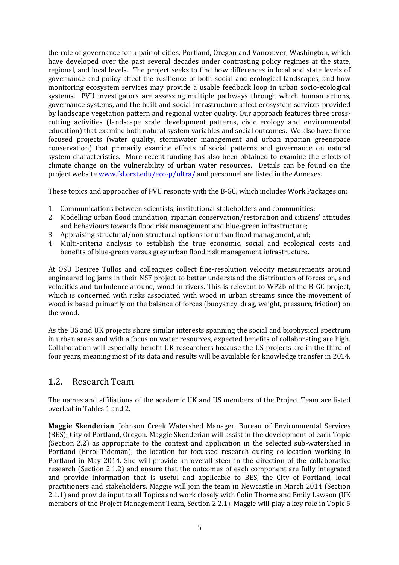the role of governance for a pair of cities, Portland, Oregon and Vancouver, Washington, which have developed over the past several decades under contrasting policy regimes at the state, regional, and local levels. The project seeks to find how differences in local and state levels of governance and policy affect the resilience of both social and ecological landscapes, and how monitoring ecosystem services may provide a usable feedback loop in urban socio-ecological systems. PVU investigators are assessing multiple pathways through which human actions, governance systems, and the built and social infrastructure affect ecosystem services provided by landscape vegetation pattern and regional water quality. Our approach features three crosscutting activities (landscape scale development patterns, civic ecology and environmental education) that examine both natural system variables and social outcomes. We also have three focused projects (water quality, stormwater management and urban riparian greenspace conservation) that primarily examine effects of social patterns and governance on natural system characteristics. More recent funding has also been obtained to examine the effects of climate change on the vulnerability of urban water resources. Details can be found on the project website [www.fsl.orst.edu/eco-p/ultra/](file:///C:/Users/PY/Desktop/www.fsl.orst.edu/eco-p/ultra/) and personnel are listed in the Annexes.

These topics and approaches of PVU resonate with the B-GC, which includes Work Packages on:

- 1. Communications between scientists, institutional stakeholders and communities;
- 2. Modelling urban flood inundation, riparian conservation/restoration and citizens' attitudes and behaviours towards flood risk management and blue-green infrastructure;
- 3. Appraising structural/non-structural options for urban flood management, and;
- 4. Multi-criteria analysis to establish the true economic, social and ecological costs and benefits of blue-green versus grey urban flood risk management infrastructure.

At OSU Desiree Tullos and colleagues collect fine-resolution velocity measurements around engineered log jams in their NSF project to better understand the distribution of forces on, and velocities and turbulence around, wood in rivers. This is relevant to WP2b of the B-GC project, which is concerned with risks associated with wood in urban streams since the movement of wood is based primarily on the balance of forces (buoyancy, drag, weight, pressure, friction) on the wood.

As the US and UK projects share similar interests spanning the social and biophysical spectrum in urban areas and with a focus on water resources, expected benefits of collaborating are high. Collaboration will especially benefit UK researchers because the US projects are in the third of four years, meaning most of its data and results will be available for knowledge transfer in 2014.

### <span id="page-4-0"></span>1.2. Research Team

The names and affiliations of the academic UK and US members of the Project Team are listed overleaf in Tables 1 and 2.

**Maggie Skenderian**, Johnson Creek Watershed Manager, Bureau of Environmental Services (BES), City of Portland, Oregon. Maggie Skenderian will assist in the development of each Topic (Section [2.2\)](#page-9-2) as appropriate to the context and application in the selected sub-watershed in Portland (Errol-Tideman), the location for focussed research during co-location working in Portland in May 2014. She will provide an overall steer in the direction of the collaborative research (Section [2.1.2\)](#page-9-0) and ensure that the outcomes of each component are fully integrated and provide information that is useful and applicable to BES, the City of Portland, local practitioners and stakeholders. Maggie will join the team in Newcastle in March 2014 (Section [2.1.1\)](#page-7-2) and provide input to all Topics and work closely with Colin Thorne and Emily Lawson (UK members of the Project Management Team, Section [2.2.1\)](#page-10-0). Maggie will play a key role in Topic 5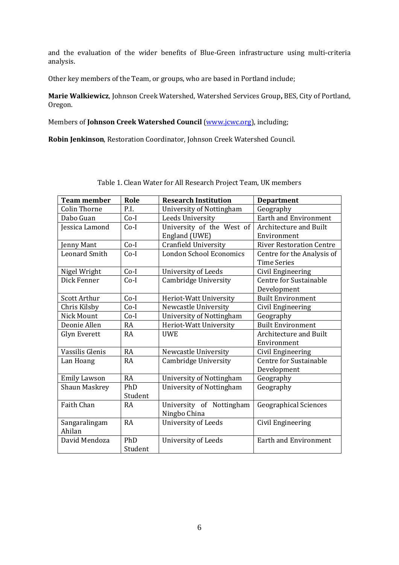and the evaluation of the wider benefits of Blue-Green infrastructure using multi-criteria analysis.

Other key members of the Team, or groups, who are based in Portland include;

**Marie Walkiewicz**, Johnson Creek Watershed, Watershed Services Group**,** BES, City of Portland, Oregon.

Members of **Johnson Creek Watershed Council** [\(www.jcwc.org\)](http://www.jcwc.org/), including;

**Robin Jenkinson**, Restoration Coordinator, Johnson Creek Watershed Council.

| <b>Team member</b>      | Role           | <b>Research Institution</b>                | <b>Department</b>                                |
|-------------------------|----------------|--------------------------------------------|--------------------------------------------------|
| <b>Colin Thorne</b>     | P.I.           | University of Nottingham                   | Geography                                        |
| Dabo Guan               | $Co-I$         | Leeds University                           | <b>Earth and Environment</b>                     |
| Jessica Lamond          | $Co-I$         | University of the West of<br>England (UWE) | <b>Architecture and Built</b><br>Environment     |
| enny Mant               | $Co-I$         | <b>Cranfield University</b>                | <b>River Restoration Centre</b>                  |
| <b>Leonard Smith</b>    | $Co-I$         | London School Economics                    | Centre for the Analysis of<br><b>Time Series</b> |
| Nigel Wright            | $Co-I$         | <b>University of Leeds</b>                 | Civil Engineering                                |
| Dick Fenner             | $Co-I$         | Cambridge University                       | Centre for Sustainable<br>Development            |
| Scott Arthur            | $Co-I$         | Heriot-Watt University                     | <b>Built Environment</b>                         |
| Chris Kilsby            | $Co-I$         | Newcastle University                       | Civil Engineering                                |
| Nick Mount              | $Co-I$         | University of Nottingham                   | Geography                                        |
| Deonie Allen            | RA             | Heriot-Watt University                     | <b>Built Environment</b>                         |
| Glyn Everett            | RA             | <b>UWE</b>                                 | <b>Architecture and Built</b><br>Environment     |
| Vassilis Glenis         | <b>RA</b>      | Newcastle University                       | Civil Engineering                                |
| Lan Hoang               | <b>RA</b>      | Cambridge University                       | Centre for Sustainable<br>Development            |
| <b>Emily Lawson</b>     | <b>RA</b>      | University of Nottingham                   | Geography                                        |
| <b>Shaun Maskrey</b>    | PhD<br>Student | <b>University of Nottingham</b>            | Geography                                        |
| Faith Chan              | <b>RA</b>      | University of Nottingham<br>Ningbo China   | <b>Geographical Sciences</b>                     |
| Sangaralingam<br>Ahilan | <b>RA</b>      | <b>University of Leeds</b>                 | Civil Engineering                                |
| David Mendoza           | PhD<br>Student | <b>University of Leeds</b>                 | <b>Earth and Environment</b>                     |

Table 1. Clean Water for All Research Project Team, UK members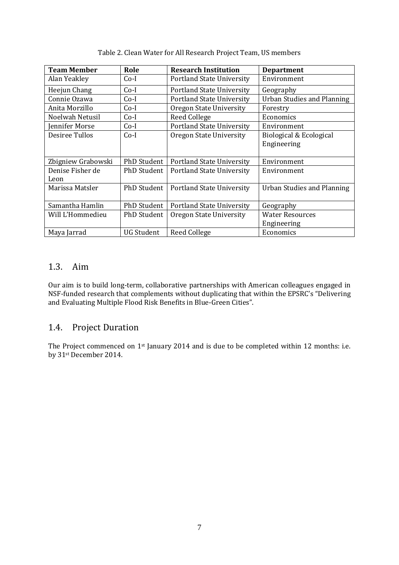| <b>Team Member</b> | Role               | <b>Research Institution</b>      | <b>Department</b>                 |
|--------------------|--------------------|----------------------------------|-----------------------------------|
| Alan Yeakley       | $Co-I$             | <b>Portland State University</b> | Environment                       |
| Heejun Chang       | $Co-I$             | <b>Portland State University</b> | Geography                         |
| Connie Ozawa       | $Co-I$             | <b>Portland State University</b> | <b>Urban Studies and Planning</b> |
| Anita Morzillo     | $Co-I$             | Oregon State University          | Forestry                          |
| Noelwah Netusil    | $Co-I$             | <b>Reed College</b>              | Economics                         |
| Jennifer Morse     | $Co-I$             | <b>Portland State University</b> | Environment                       |
| Desiree Tullos     | $Co-I$             | Oregon State University          | Biological & Ecological           |
|                    |                    |                                  | Engineering                       |
|                    |                    |                                  |                                   |
| Zbigniew Grabowski | <b>PhD Student</b> | <b>Portland State University</b> | Environment                       |
| Denise Fisher de   | <b>PhD Student</b> | <b>Portland State University</b> | Environment                       |
| Leon               |                    |                                  |                                   |
| Marissa Matsler    | <b>PhD Student</b> | <b>Portland State University</b> | Urban Studies and Planning        |
|                    |                    |                                  |                                   |
| Samantha Hamlin    | <b>PhD Student</b> | <b>Portland State University</b> | Geography                         |
| Will L'Hommedieu   | <b>PhD Student</b> | Oregon State University          | <b>Water Resources</b>            |
|                    |                    |                                  | Engineering                       |
| Maya Jarrad        | <b>UG Student</b>  | Reed College                     | Economics                         |

Table 2. Clean Water for All Research Project Team, US members

### <span id="page-6-0"></span>1.3. Aim

Our aim is to build long-term, collaborative partnerships with American colleagues engaged in NSF-funded research that complements without duplicating that within the EPSRC's "Delivering and Evaluating Multiple Flood Risk Benefits in Blue-Green Cities".

## <span id="page-6-1"></span>1.4. Project Duration

The Project commenced on 1st January 2014 and is due to be completed within 12 months: i.e. by 31st December 2014.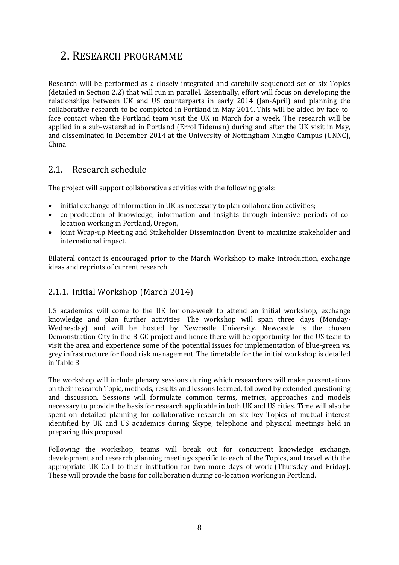## <span id="page-7-0"></span>2. RESEARCH PROGRAMME

Research will be performed as a closely integrated and carefully sequenced set of six Topics (detailed in Section [2.2\)](#page-9-2) that will run in parallel. Essentially, effort will focus on developing the relationships between UK and US counterparts in early 2014 (Jan-April) and planning the collaborative research to be completed in Portland in May 2014. This will be aided by face-toface contact when the Portland team visit the UK in March for a week. The research will be applied in a sub-watershed in Portland (Errol Tideman) during and after the UK visit in May, and disseminated in December 2014 at the University of Nottingham Ningbo Campus (UNNC), China.

## <span id="page-7-1"></span>2.1. Research schedule

The project will support collaborative activities with the following goals:

- initial exchange of information in UK as necessary to plan collaboration activities;
- co-production of knowledge, information and insights through intensive periods of colocation working in Portland, Oregon,
- joint Wrap-up Meeting and Stakeholder Dissemination Event to maximize stakeholder and international impact.

Bilateral contact is encouraged prior to the March Workshop to make introduction, exchange ideas and reprints of current research.

### <span id="page-7-2"></span>2.1.1. Initial Workshop (March 2014)

US academics will come to the UK for one-week to attend an initial workshop, exchange knowledge and plan further activities. The workshop will span three days (Monday-Wednesday) and will be hosted by Newcastle University. Newcastle is the chosen Demonstration City in the B-GC project and hence there will be opportunity for the US team to visit the area and experience some of the potential issues for implementation of blue-green vs. grey infrastructure for flood risk management. The timetable for the initial workshop is detailed in Table 3.

The workshop will include plenary sessions during which researchers will make presentations on their research Topic, methods, results and lessons learned, followed by extended questioning and discussion. Sessions will formulate common terms, metrics, approaches and models necessary to provide the basis for research applicable in both UK and US cities. Time will also be spent on detailed planning for collaborative research on six key Topics of mutual interest identified by UK and US academics during Skype, telephone and physical meetings held in preparing this proposal.

Following the workshop, teams will break out for concurrent knowledge exchange, development and research planning meetings specific to each of the Topics, and travel with the appropriate UK Co-I to their institution for two more days of work (Thursday and Friday). These will provide the basis for collaboration during co-location working in Portland.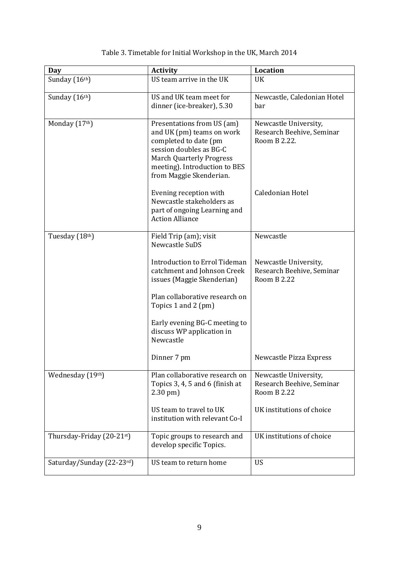| Day                       | <b>Activity</b>                                                                                                                                                                                            | <b>Location</b>                                                          |
|---------------------------|------------------------------------------------------------------------------------------------------------------------------------------------------------------------------------------------------------|--------------------------------------------------------------------------|
| Sunday (16th)             | US team arrive in the UK                                                                                                                                                                                   | UK                                                                       |
| Sunday (16th)             | US and UK team meet for<br>dinner (ice-breaker), 5.30                                                                                                                                                      | Newcastle, Caledonian Hotel<br>bar                                       |
| Monday (17th)             | Presentations from US (am)<br>and UK (pm) teams on work<br>completed to date (pm<br>session doubles as BG-C<br><b>March Quarterly Progress</b><br>meeting). Introduction to BES<br>from Maggie Skenderian. | Newcastle University,<br>Research Beehive, Seminar<br>Room B 2.22.       |
|                           | Evening reception with<br>Newcastle stakeholders as<br>part of ongoing Learning and<br><b>Action Alliance</b>                                                                                              | Caledonian Hotel                                                         |
| Tuesday (18th)            | Field Trip (am); visit<br>Newcastle SuDS                                                                                                                                                                   | Newcastle                                                                |
|                           | Introduction to Errol Tideman<br>catchment and Johnson Creek<br>issues (Maggie Skenderian)                                                                                                                 | Newcastle University,<br>Research Beehive, Seminar<br><b>Room B 2.22</b> |
|                           | Plan collaborative research on<br>Topics 1 and 2 (pm)                                                                                                                                                      |                                                                          |
|                           | Early evening BG-C meeting to<br>discuss WP application in<br>Newcastle                                                                                                                                    |                                                                          |
|                           | Dinner 7 pm                                                                                                                                                                                                | Newcastle Pizza Express                                                  |
| Wednesday (19th)          | Plan collaborative research on<br>Topics 3, 4, 5 and 6 (finish at<br>$2.30$ pm $)$                                                                                                                         | Newcastle University,<br>Research Beehive, Seminar<br><b>Room B 2.22</b> |
|                           | US team to travel to UK<br>institution with relevant Co-I                                                                                                                                                  | UK institutions of choice                                                |
| Thursday-Friday (20-21st) | Topic groups to research and<br>develop specific Topics.                                                                                                                                                   | UK institutions of choice                                                |
| Saturday/Sunday (22-23rd) | US team to return home                                                                                                                                                                                     | <b>US</b>                                                                |

Table 3. Timetable for Initial Workshop in the UK, March 2014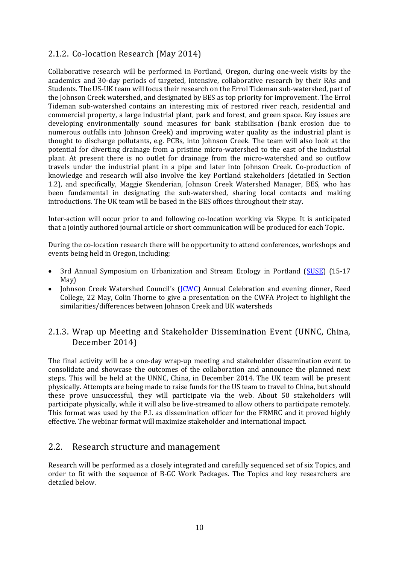### <span id="page-9-0"></span>2.1.2. Co-location Research (May 2014)

Collaborative research will be performed in Portland, Oregon, during one-week visits by the academics and 30-day periods of targeted, intensive, collaborative research by their RAs and Students. The US-UK team will focus their research on the Errol Tideman sub-watershed, part of the Johnson Creek watershed, and designated by BES as top priority for improvement. The Errol Tideman sub-watershed contains an interesting mix of restored river reach, residential and commercial property, a large industrial plant, park and forest, and green space. Key issues are developing environmentally sound measures for bank stabilisation (bank erosion due to numerous outfalls into Johnson Creek) and improving water quality as the industrial plant is thought to discharge pollutants, e.g. PCBs, into Johnson Creek. The team will also look at the potential for diverting drainage from a pristine micro-watershed to the east of the industrial plant. At present there is no outlet for drainage from the micro-watershed and so outflow travels under the industrial plant in a pipe and later into Johnson Creek. Co-production of knowledge and research will also involve the key Portland stakeholders (detailed in Section [1.2\)](#page-4-0), and specifically, Maggie Skenderian, Johnson Creek Watershed Manager, BES, who has been fundamental in designating the sub-watershed, sharing local contacts and making introductions. The UK team will be based in the BES offices throughout their stay.

Inter-action will occur prior to and following co-location working via Skype. It is anticipated that a jointly authored journal article or short communication will be produced for each Topic.

During the co-location research there will be opportunity to attend conferences, workshops and events being held in Oregon, including;

- 3rd Annual Symposium on Urbanization and Stream Ecology in Portland [\(SUSE\)](http://urbanstreams.wordpress.com/) (15-17 May)
- Johnson Creek Watershed Council's (ICWC) Annual Celebration and evening dinner, Reed College, 22 May, Colin Thorne to give a presentation on the CWFA Project to highlight the similarities/differences between Johnson Creek and UK watersheds

### <span id="page-9-1"></span>2.1.3. Wrap up Meeting and Stakeholder Dissemination Event (UNNC, China, December 2014)

The final activity will be a one-day wrap-up meeting and stakeholder dissemination event to consolidate and showcase the outcomes of the collaboration and announce the planned next steps. This will be held at the UNNC, China, in December 2014. The UK team will be present physically. Attempts are being made to raise funds for the US team to travel to China, but should these prove unsuccessful, they will participate via the web. About 50 stakeholders will participate physically, while it will also be live-streamed to allow others to participate remotely. This format was used by the P.I. as dissemination officer for the FRMRC and it proved highly effective. The webinar format will maximize stakeholder and international impact.

### <span id="page-9-2"></span>2.2. Research structure and management

Research will be performed as a closely integrated and carefully sequenced set of six Topics, and order to fit with the sequence of B-GC Work Packages. The Topics and key researchers are detailed below.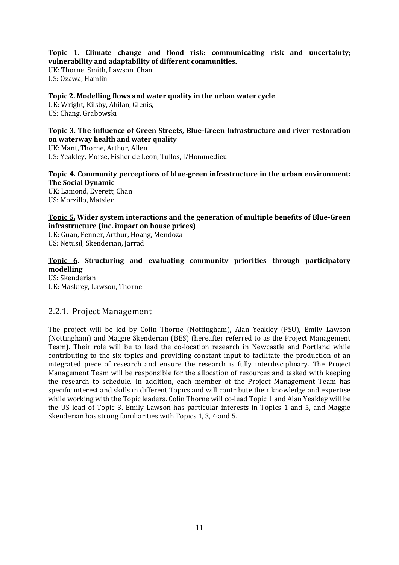#### **Topic 1. Climate change and flood risk: communicating risk and uncertainty; vulnerability and adaptability of different communities.**

UK: Thorne, Smith, Lawson, Chan US: Ozawa, Hamlin

#### **Topic 2. Modelling flows and water quality in the urban water cycle**

UK: Wright, Kilsby, Ahilan, Glenis, US: Chang, Grabowski

#### **Topic 3. The influence of Green Streets, Blue-Green Infrastructure and river restoration on waterway health and water quality**

UK: Mant, Thorne, Arthur, Allen US: Yeakley, Morse, Fisher de Leon, Tullos, L'Hommedieu

#### **Topic 4. Community perceptions of blue-green infrastructure in the urban environment: The Social Dynamic**

UK: Lamond, Everett, Chan US: Morzillo, Matsler

#### **Topic 5. Wider system interactions and the generation of multiple benefits of Blue-Green infrastructure (inc. impact on house prices)**

UK: Guan, Fenner, Arthur, Hoang, Mendoza US: Netusil, Skenderian, Jarrad

#### **Topic 6. Structuring and evaluating community priorities through participatory modelling** US: Skenderian

UK: Maskrey, Lawson, Thorne

#### <span id="page-10-0"></span>2.2.1. Project Management

The project will be led by Colin Thorne (Nottingham), Alan Yeakley (PSU), Emily Lawson (Nottingham) and Maggie Skenderian (BES) (hereafter referred to as the Project Management Team). Their role will be to lead the co-location research in Newcastle and Portland while contributing to the six topics and providing constant input to facilitate the production of an integrated piece of research and ensure the research is fully interdisciplinary. The Project Management Team will be responsible for the allocation of resources and tasked with keeping the research to schedule. In addition, each member of the Project Management Team has specific interest and skills in different Topics and will contribute their knowledge and expertise while working with the Topic leaders. Colin Thorne will co-lead Topic 1 and Alan Yeakley will be the US lead of Topic 3. Emily Lawson has particular interests in Topics 1 and 5, and Maggie Skenderian has strong familiarities with Topics 1, 3, 4 and 5.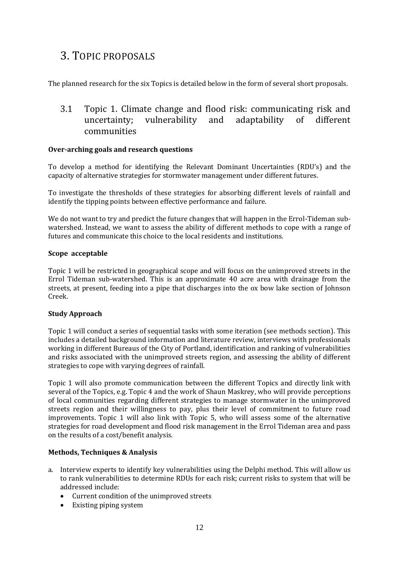## <span id="page-11-0"></span>3. TOPIC PROPOSALS

The planned research for the six Topics is detailed below in the form of several short proposals.

## <span id="page-11-1"></span>3.1 Topic 1. Climate change and flood risk: communicating risk and uncertainty; vulnerability and adaptability of different communities

#### **Over-arching goals and research questions**

To develop a method for identifying the Relevant Dominant Uncertainties (RDU's) and the capacity of alternative strategies for stormwater management under different futures.

To investigate the thresholds of these strategies for absorbing different levels of rainfall and identify the tipping points between effective performance and failure.

We do not want to try and predict the future changes that will happen in the Errol-Tideman subwatershed. Instead, we want to assess the ability of different methods to cope with a range of futures and communicate this choice to the local residents and institutions.

#### **Scope acceptable**

Topic 1 will be restricted in geographical scope and will focus on the unimproved streets in the Errol Tideman sub-watershed. This is an approximate 40 acre area with drainage from the streets, at present, feeding into a pipe that discharges into the ox bow lake section of Johnson Creek.

#### **Study Approach**

Topic 1 will conduct a series of sequential tasks with some iteration (see methods section). This includes a detailed background information and literature review, interviews with professionals working in different Bureaus of the City of Portland, identification and ranking of vulnerabilities and risks associated with the unimproved streets region, and assessing the ability of different strategies to cope with varying degrees of rainfall.

Topic 1 will also promote communication between the different Topics and directly link with several of the Topics, e.g. Topic 4 and the work of Shaun Maskrey, who will provide perceptions of local communities regarding different strategies to manage stormwater in the unimproved streets region and their willingness to pay, plus their level of commitment to future road improvements. Topic 1 will also link with Topic 5, who will assess some of the alternative strategies for road development and flood risk management in the Errol Tideman area and pass on the results of a cost/benefit analysis.

#### **Methods, Techniques & Analysis**

- a. Interview experts to identify key vulnerabilities using the Delphi method. This will allow us to rank vulnerabilities to determine RDUs for each risk; current risks to system that will be addressed include:
	- Current condition of the unimproved streets
	- Existing piping system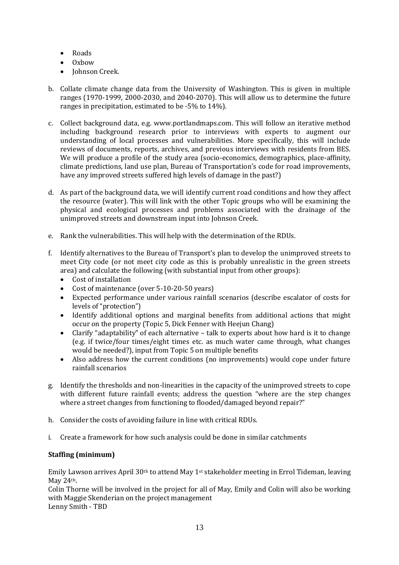- Roads
- $\bullet$  Oxbow
- Johnson Creek.
- b. Collate climate change data from the University of Washington. This is given in multiple ranges (1970-1999, 2000-2030, and 2040-2070). This will allow us to determine the future ranges in precipitation, estimated to be -5% to 14%).
- c. Collect background data, e.g. www.portlandmaps.com. This will follow an iterative method including background research prior to interviews with experts to augment our understanding of local processes and vulnerabilities. More specifically, this will include reviews of documents, reports, archives, and previous interviews with residents from BES. We will produce a profile of the study area (socio-economics, demographics, place-affinity, climate predictions, land use plan, Bureau of Transportation's code for road improvements, have any improved streets suffered high levels of damage in the past?)
- d. As part of the background data, we will identify current road conditions and how they affect the resource (water). This will link with the other Topic groups who will be examining the physical and ecological processes and problems associated with the drainage of the unimproved streets and downstream input into Johnson Creek.
- e. Rank the vulnerabilities. This will help with the determination of the RDUs.
- f. Identify alternatives to the Bureau of Transport's plan to develop the unimproved streets to meet City code (or not meet city code as this is probably unrealistic in the green streets area) and calculate the following (with substantial input from other groups):
	- Cost of installation
	- Cost of maintenance (over 5-10-20-50 years)
	- Expected performance under various rainfall scenarios (describe escalator of costs for levels of "protection")
	- Identify additional options and marginal benefits from additional actions that might occur on the property (Topic 5, Dick Fenner with Heejun Chang)
	- Clarify "adaptability" of each alternative talk to experts about how hard is it to change (e.g. if twice/four times/eight times etc. as much water came through, what changes would be needed?), input from Topic 5 on multiple benefits
	- Also address how the current conditions (no improvements) would cope under future rainfall scenarios
- g. Identify the thresholds and non-linearities in the capacity of the unimproved streets to cope with different future rainfall events; address the question "where are the step changes where a street changes from functioning to flooded/damaged beyond repair?"
- h. Consider the costs of avoiding failure in line with critical RDUs.
- i. Create a framework for how such analysis could be done in similar catchments

#### **Staffing (minimum)**

Emily Lawson arrives April  $30<sup>th</sup>$  to attend May 1<sup>st</sup> stakeholder meeting in Errol Tideman, leaving May 24th.

Colin Thorne will be involved in the project for all of May, Emily and Colin will also be working with Maggie Skenderian on the project management Lenny Smith - TBD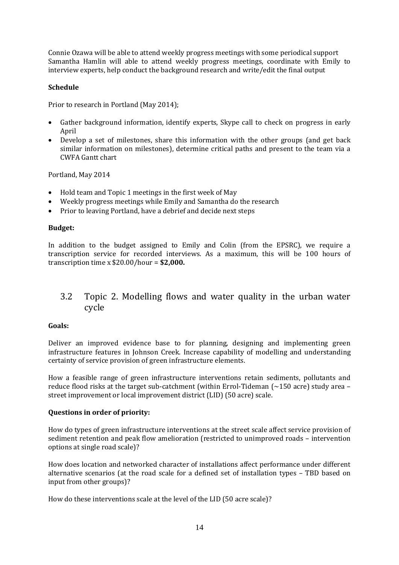Connie Ozawa will be able to attend weekly progress meetings with some periodical support Samantha Hamlin will able to attend weekly progress meetings, coordinate with Emily to interview experts, help conduct the background research and write/edit the final output

#### **Schedule**

Prior to research in Portland (May 2014);

- Gather background information, identify experts, Skype call to check on progress in early April
- Develop a set of milestones, share this information with the other groups (and get back similar information on milestones), determine critical paths and present to the team via a CWFA Gantt chart

Portland, May 2014

- Hold team and Topic 1 meetings in the first week of May
- Weekly progress meetings while Emily and Samantha do the research
- Prior to leaving Portland, have a debrief and decide next steps

#### **Budget:**

In addition to the budget assigned to Emily and Colin (from the EPSRC), we require a transcription service for recorded interviews. As a maximum, this will be 100 hours of transcription time x \$20.00/hour = **\$2,000.**

### <span id="page-13-0"></span>3.2 Topic 2. Modelling flows and water quality in the urban water cycle

#### **Goals:**

Deliver an improved evidence base to for planning, designing and implementing green infrastructure features in Johnson Creek. Increase capability of modelling and understanding certainty of service provision of green infrastructure elements.

How a feasible range of green infrastructure interventions retain sediments, pollutants and reduce flood risks at the target sub-catchment (within Errol-Tideman  $\sim$  150 acre) study area – street improvement or local improvement district (LID) (50 acre) scale.

#### **Questions in order of priority:**

How do types of green infrastructure interventions at the street scale affect service provision of sediment retention and peak flow amelioration (restricted to unimproved roads – intervention options at single road scale)?

How does location and networked character of installations affect performance under different alternative scenarios (at the road scale for a defined set of installation types – TBD based on input from other groups)?

How do these interventions scale at the level of the LID (50 acre scale)?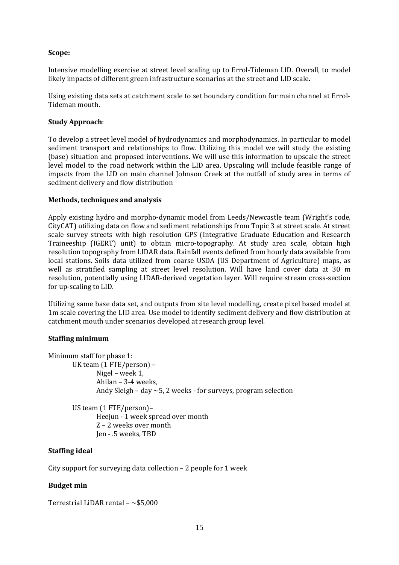#### **Scope:**

Intensive modelling exercise at street level scaling up to Errol-Tideman LID. Overall, to model likely impacts of different green infrastructure scenarios at the street and LID scale.

Using existing data sets at catchment scale to set boundary condition for main channel at Errol-Tideman mouth.

#### **Study Approach**:

To develop a street level model of hydrodynamics and morphodynamics. In particular to model sediment transport and relationships to flow. Utilizing this model we will study the existing (base) situation and proposed interventions. We will use this information to upscale the street level model to the road network within the LID area. Upscaling will include feasible range of impacts from the LID on main channel Johnson Creek at the outfall of study area in terms of sediment delivery and flow distribution

#### **Methods, techniques and analysis**

Apply existing hydro and morpho-dynamic model from Leeds/Newcastle team (Wright's code, CityCAT) utilizing data on flow and sediment relationships from Topic 3 at street scale. At street scale survey streets with high resolution GPS (Integrative Graduate Education and Research Traineeship (IGERT) unit) to obtain micro-topography. At study area scale, obtain high resolution topography from LIDAR data. Rainfall events defined from hourly data available from local stations. Soils data utilized from coarse USDA (US Department of Agriculture) maps, as well as stratified sampling at street level resolution. Will have land cover data at 30 m resolution, potentially using LIDAR-derived vegetation layer. Will require stream cross-section for up-scaling to LID.

Utilizing same base data set, and outputs from site level modelling, create pixel based model at 1m scale covering the LID area. Use model to identify sediment delivery and flow distribution at catchment mouth under scenarios developed at research group level.

#### **Staffing minimum**

| Minimum staff for phase 1:                                           |
|----------------------------------------------------------------------|
| UK team $(1$ FTE/person) –                                           |
| Nigel – week 1,                                                      |
| Ahilan - 3-4 weeks,                                                  |
| Andy Sleigh – day $\sim$ 5, 2 weeks - for surveys, program selection |
| US team $(1$ FTE/person)-                                            |

Heejun - 1 week spread over month Z – 2 weeks over month Jen - .5 weeks, TBD

#### **Staffing ideal**

City support for surveying data collection – 2 people for 1 week

#### **Budget min**

Terrestrial LiDAR rental  $-$  ~\$5,000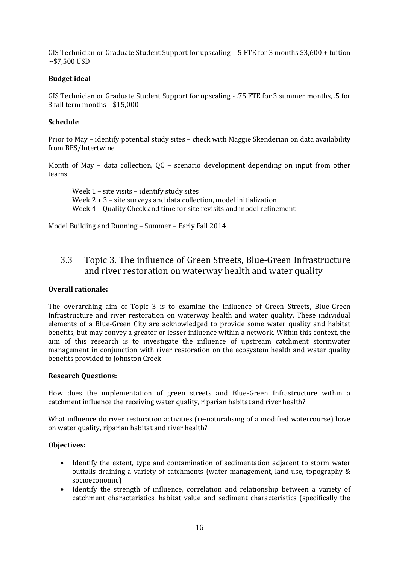GIS Technician or Graduate Student Support for upscaling - .5 FTE for 3 months \$3,600 + tuition  $~1.500$  USD

#### **Budget ideal**

GIS Technician or Graduate Student Support for upscaling - .75 FTE for 3 summer months, .5 for 3 fall term months – \$15,000

#### **Schedule**

Prior to May – identify potential study sites – check with Maggie Skenderian on data availability from BES/Intertwine

Month of May – data collection, QC – scenario development depending on input from other teams

Week 1 – site visits – identify study sites Week 2 + 3 – site surveys and data collection, model initialization Week 4 – Quality Check and time for site revisits and model refinement

Model Building and Running – Summer – Early Fall 2014

## <span id="page-15-0"></span>3.3 Topic 3. The influence of Green Streets, Blue-Green Infrastructure and river restoration on waterway health and water quality

#### **Overall rationale:**

The overarching aim of Topic 3 is to examine the influence of Green Streets, Blue-Green Infrastructure and river restoration on waterway health and water quality. These individual elements of a Blue-Green City are acknowledged to provide some water quality and habitat benefits, but may convey a greater or lesser influence within a network. Within this context, the aim of this research is to investigate the influence of upstream catchment stormwater management in conjunction with river restoration on the ecosystem health and water quality benefits provided to Johnston Creek.

#### **Research Questions:**

How does the implementation of green streets and Blue-Green Infrastructure within a catchment influence the receiving water quality, riparian habitat and river health?

What influence do river restoration activities (re-naturalising of a modified watercourse) have on water quality, riparian habitat and river health?

#### **Objectives:**

- Identify the extent, type and contamination of sedimentation adjacent to storm water outfalls draining a variety of catchments (water management, land use, topography & socioeconomic)
- Identify the strength of influence, correlation and relationship between a variety of catchment characteristics, habitat value and sediment characteristics (specifically the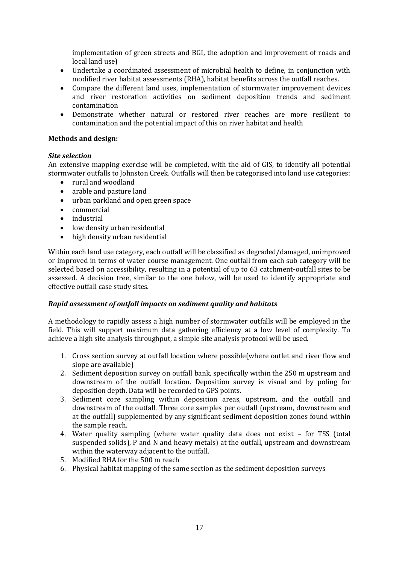implementation of green streets and BGI, the adoption and improvement of roads and local land use)

- Undertake a coordinated assessment of microbial health to define, in conjunction with modified river habitat assessments (RHA), habitat benefits across the outfall reaches.
- Compare the different land uses, implementation of stormwater improvement devices and river restoration activities on sediment deposition trends and sediment contamination
- Demonstrate whether natural or restored river reaches are more resilient to contamination and the potential impact of this on river habitat and health

#### **Methods and design:**

#### *Site selection*

An extensive mapping exercise will be completed, with the aid of GIS, to identify all potential stormwater outfalls to Johnston Creek. Outfalls will then be categorised into land use categories:

- rural and woodland
- arable and pasture land
- urban parkland and open green space
- commercial
- industrial
- low density urban residential
- high density urban residential

Within each land use category, each outfall will be classified as degraded/damaged, unimproved or improved in terms of water course management. One outfall from each sub category will be selected based on accessibility, resulting in a potential of up to 63 catchment-outfall sites to be assessed. A decision tree, similar to the one below, will be used to identify appropriate and effective outfall case study sites.

#### *Rapid assessment of outfall impacts on sediment quality and habitats*

A methodology to rapidly assess a high number of stormwater outfalls will be employed in the field. This will support maximum data gathering efficiency at a low level of complexity. To achieve a high site analysis throughput, a simple site analysis protocol will be used.

- 1. Cross section survey at outfall location where possible(where outlet and river flow and slope are available)
- 2. Sediment deposition survey on outfall bank, specifically within the 250 m upstream and downstream of the outfall location. Deposition survey is visual and by poling for deposition depth. Data will be recorded to GPS points.
- 3. Sediment core sampling within deposition areas, upstream, and the outfall and downstream of the outfall. Three core samples per outfall (upstream, downstream and at the outfall) supplemented by any significant sediment deposition zones found within the sample reach.
- 4. Water quality sampling (where water quality data does not exist for TSS (total suspended solids), P and N and heavy metals) at the outfall, upstream and downstream within the waterway adjacent to the outfall.
- 5. Modified RHA for the 500 m reach
- 6. Physical habitat mapping of the same section as the sediment deposition surveys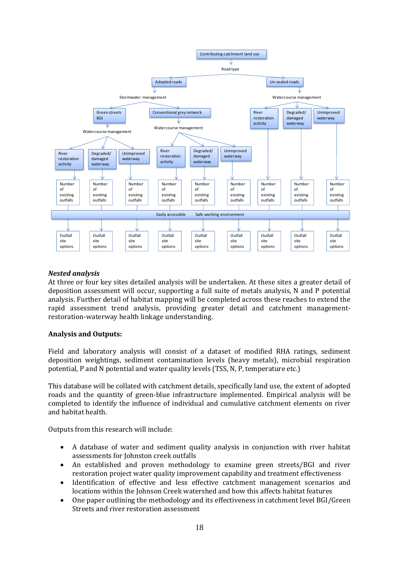

#### *Nested analysis*

At three or four key sites detailed analysis will be undertaken. At these sites a greater detail of deposition assessment will occur, supporting a full suite of metals analysis, N and P potential analysis. Further detail of habitat mapping will be completed across these reaches to extend the rapid assessment trend analysis, providing greater detail and catchment managementrestoration-waterway health linkage understanding.

#### **Analysis and Outputs:**

Field and laboratory analysis will consist of a dataset of modified RHA ratings, sediment deposition weightings, sediment contamination levels (heavy metals), microbial respiration potential, P and N potential and water quality levels (TSS, N, P, temperature etc.)

This database will be collated with catchment details, specifically land use, the extent of adopted roads and the quantity of green-blue infrastructure implemented. Empirical analysis will be completed to identify the influence of individual and cumulative catchment elements on river and habitat health.

Outputs from this research will include:

- A database of water and sediment quality analysis in conjunction with river habitat assessments for Johnston creek outfalls
- An established and proven methodology to examine green streets/BGI and river restoration project water quality improvement capability and treatment effectiveness
- Identification of effective and less effective catchment management scenarios and locations within the Johnson Creek watershed and how this affects habitat features
- One paper outlining the methodology and its effectiveness in catchment level BGI/Green Streets and river restoration assessment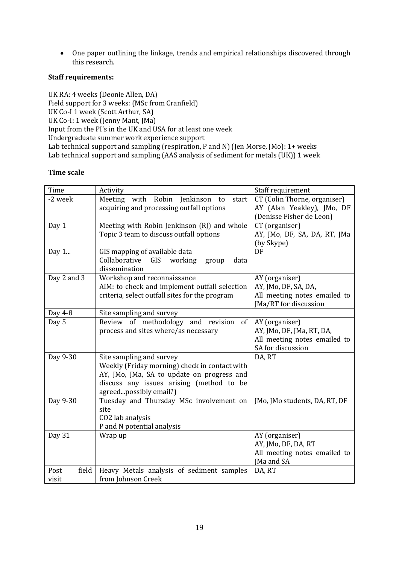One paper outlining the linkage, trends and empirical relationships discovered through this research.

#### **Staff requirements:**

UK RA: 4 weeks (Deonie Allen, DA) Field support for 3 weeks: (MSc from Cranfield) UK Co-I 1 week (Scott Arthur, SA) UK Co-I: 1 week (Jenny Mant, JMa) Input from the PI's in the UK and USA for at least one week Undergraduate summer work experience support Lab technical support and sampling (respiration, P and N) (Jen Morse, JMo): 1+ weeks Lab technical support and sampling (AAS analysis of sediment for metals (UK)) 1 week

#### **Time scale**

| Time          | Activity                                          | Staff requirement                                 |
|---------------|---------------------------------------------------|---------------------------------------------------|
| -2 week       | Robin<br>Meeting with<br>Jenkinson<br>start<br>to | CT (Colin Thorne, organiser)                      |
|               | acquiring and processing outfall options          | AY (Alan Yeakley), JMo, DF                        |
|               |                                                   | (Denisse Fisher de Leon)                          |
| Day 1         | Meeting with Robin Jenkinson (RJ) and whole       | CT (organiser)                                    |
|               | Topic 3 team to discuss outfall options           | AY, JMo, DF, SA, DA, RT, JMa                      |
|               |                                                   | (by Skype)                                        |
| Day 1         | GIS mapping of available data                     | DF                                                |
|               | Collaborative<br>working<br>GIS<br>data<br>group  |                                                   |
|               | dissemination                                     |                                                   |
| Day 2 and 3   | Workshop and reconnaissance                       | AY (organiser)                                    |
|               | AIM: to check and implement outfall selection     | AY, JMo, DF, SA, DA,                              |
|               | criteria, select outfall sites for the program    | All meeting notes emailed to                      |
|               |                                                   | JMa/RT for discussion                             |
| Day 4-8       | Site sampling and survey                          |                                                   |
| Day 5         | Review of methodology<br>and revision<br>of       | AY (organiser)                                    |
|               | process and sites where/as necessary              | AY, JMo, DF, JMa, RT, DA,                         |
|               |                                                   | All meeting notes emailed to<br>SA for discussion |
| Day 9-30      | Site sampling and survey                          | DA, RT                                            |
|               | Weekly (Friday morning) check in contact with     |                                                   |
|               | AY, JMo, JMa, SA to update on progress and        |                                                   |
|               | discuss any issues arising (method to be          |                                                   |
|               | agreedpossibly email?)                            |                                                   |
| Day 9-30      | Tuesday and Thursday MSc involvement on           | JMo, JMo students, DA, RT, DF                     |
|               | site                                              |                                                   |
|               | CO2 lab analysis                                  |                                                   |
|               | P and N potential analysis                        |                                                   |
| Day 31        | Wrap up                                           | AY (organiser)                                    |
|               |                                                   | AY, JMo, DF, DA, RT                               |
|               |                                                   | All meeting notes emailed to                      |
|               |                                                   | JMa and SA                                        |
| field<br>Post | Heavy Metals analysis of sediment samples         | DA, RT                                            |
| visit         | from Johnson Creek                                |                                                   |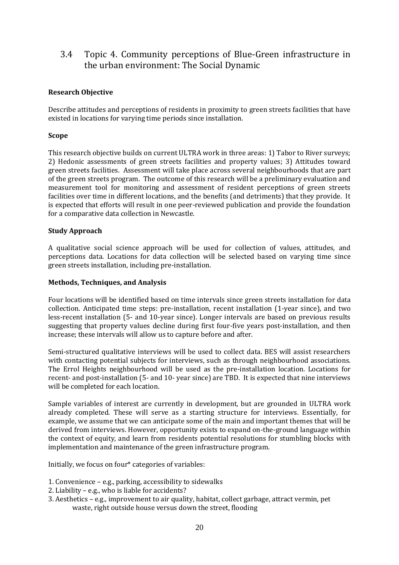## <span id="page-19-0"></span>3.4 Topic 4. Community perceptions of Blue-Green infrastructure in the urban environment: The Social Dynamic

#### **Research Objective**

Describe attitudes and perceptions of residents in proximity to green streets facilities that have existed in locations for varying time periods since installation.

#### **Scope**

This research objective builds on current ULTRA work in three areas: 1) Tabor to River surveys; 2) Hedonic assessments of green streets facilities and property values; 3) Attitudes toward green streets facilities. Assessment will take place across several neighbourhoods that are part of the green streets program. The outcome of this research will be a preliminary evaluation and measurement tool for monitoring and assessment of resident perceptions of green streets facilities over time in different locations, and the benefits (and detriments) that they provide. It is expected that efforts will result in one peer-reviewed publication and provide the foundation for a comparative data collection in Newcastle.

#### **Study Approach**

A qualitative social science approach will be used for collection of values, attitudes, and perceptions data. Locations for data collection will be selected based on varying time since green streets installation, including pre-installation.

#### **Methods, Techniques, and Analysis**

Four locations will be identified based on time intervals since green streets installation for data collection. Anticipated time steps: pre-installation, recent installation (1-year since), and two less-recent installation (5- and 10-year since). Longer intervals are based on previous results suggesting that property values decline during first four-five years post-installation, and then increase; these intervals will allow us to capture before and after.

Semi-structured qualitative interviews will be used to collect data. BES will assist researchers with contacting potential subjects for interviews, such as through neighbourhood associations. The Errol Heights neighbourhood will be used as the pre-installation location. Locations for recent- and post-installation (5- and 10- year since) are TBD. It is expected that nine interviews will be completed for each location.

Sample variables of interest are currently in development, but are grounded in ULTRA work already completed. These will serve as a starting structure for interviews. Essentially, for example, we assume that we can anticipate some of the main and important themes that will be derived from interviews. However, opportunity exists to expand on-the-ground language within the context of equity, and learn from residents potential resolutions for stumbling blocks with implementation and maintenance of the green infrastructure program.

Initially, we focus on four\* categories of variables:

- 1. Convenience e.g., parking, accessibility to sidewalks
- 2. Liability e.g., who is liable for accidents?
- 3. Aesthetics e.g., improvement to air quality, habitat, collect garbage, attract vermin, pet waste, right outside house versus down the street, flooding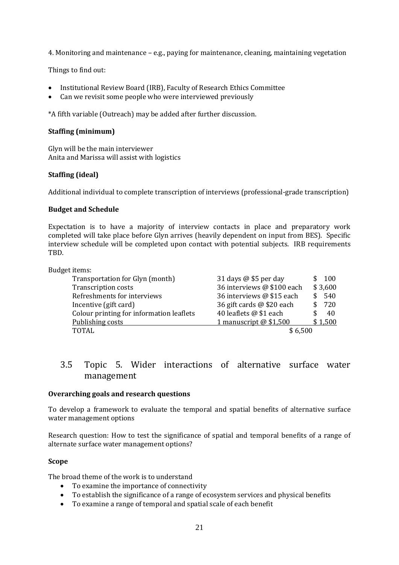4. Monitoring and maintenance – e.g., paying for maintenance, cleaning, maintaining vegetation

Things to find out:

- Institutional Review Board (IRB), Faculty of Research Ethics Committee
- Can we revisit some people who were interviewed previously

\*A fifth variable (Outreach) may be added after further discussion.

#### **Staffing (minimum)**

Glyn will be the main interviewer Anita and Marissa will assist with logistics

#### **Staffing (ideal)**

Additional individual to complete transcription of interviews (professional-grade transcription)

#### **Budget and Schedule**

Expectation is to have a majority of interview contacts in place and preparatory work completed will take place before Glyn arrives (heavily dependent on input from BES). Specific interview schedule will be completed upon contact with potential subjects. IRB requirements TBD.

| Budget items:                            |                              |         |
|------------------------------------------|------------------------------|---------|
| Transportation for Glyn (month)          | 31 days $\omega$ \$5 per day | 100     |
| <b>Transcription costs</b>               | 36 interviews @ \$100 each   | \$3,600 |
| Refreshments for interviews              | 36 interviews @ \$15 each    | 540     |
| Incentive (gift card)                    | 36 gift cards @ \$20 each    | 720     |
| Colour printing for information leaflets | 40 leaflets @ \$1 each       | 40      |
| Publishing costs                         | 1 manuscript $@$ \$1,500     | \$1,500 |
| TOTAL                                    | \$6.500                      |         |

### <span id="page-20-0"></span>3.5 Topic 5. Wider interactions of alternative surface water management

#### **Overarching goals and research questions**

To develop a framework to evaluate the temporal and spatial benefits of alternative surface water management options

Research question: How to test the significance of spatial and temporal benefits of a range of alternate surface water management options?

#### **Scope**

The broad theme of the work is to understand

- To examine the importance of connectivity
- To establish the significance of a range of ecosystem services and physical benefits
- To examine a range of temporal and spatial scale of each benefit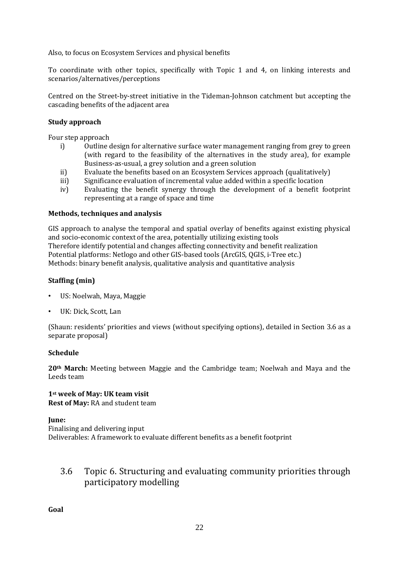Also, to focus on Ecosystem Services and physical benefits

To coordinate with other topics, specifically with Topic 1 and 4, on linking interests and scenarios/alternatives/perceptions

Centred on the Street-by-street initiative in the Tideman-Johnson catchment but accepting the cascading benefits of the adjacent area

#### **Study approach**

Four step approach

- i) Outline design for alternative surface water management ranging from grey to green (with regard to the feasibility of the alternatives in the study area), for example Business-as-usual, a grey solution and a green solution
- ii) Evaluate the benefits based on an Ecosystem Services approach (qualitatively)
- iii) Significance evaluation of incremental value added within a specific location
- iv) Evaluating the benefit synergy through the development of a benefit footprint representing at a range of space and time

#### **Methods, techniques and analysis**

GIS approach to analyse the temporal and spatial overlay of benefits against existing physical and socio-economic context of the area, potentially utilizing existing tools Therefore identify potential and changes affecting connectivity and benefit realization Potential platforms: Netlogo and other GIS-based tools (ArcGIS, QGIS, i-Tree etc.) Methods: binary benefit analysis, qualitative analysis and quantitative analysis

#### **Staffing (min)**

- US: Noelwah, Maya, Maggie
- UK: Dick, Scott, Lan

(Shaun: residents' priorities and views (without specifying options), detailed in Section [3.6](#page-21-0) as a separate proposal)

#### **Schedule**

**20th March:** Meeting between Maggie and the Cambridge team; Noelwah and Maya and the Leeds team

**1st week of May: UK team visit Rest of May:** RA and student team

**June:** Finalising and delivering input Deliverables: A framework to evaluate different benefits as a benefit footprint

## <span id="page-21-0"></span>3.6 Topic 6. Structuring and evaluating community priorities through participatory modelling

**Goal**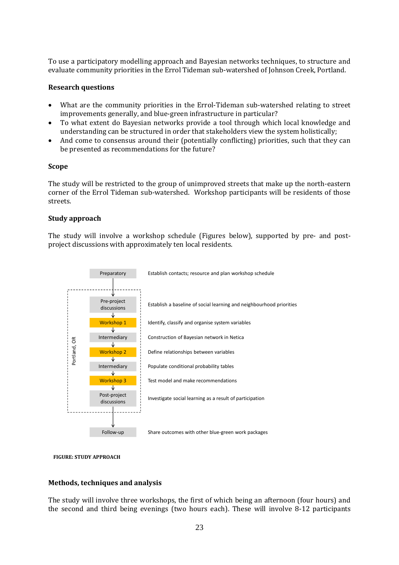To use a participatory modelling approach and Bayesian networks techniques, to structure and evaluate community priorities in the Errol Tideman sub-watershed of Johnson Creek, Portland.

#### **Research questions**

- What are the community priorities in the Errol-Tideman sub-watershed relating to street improvements generally, and blue-green infrastructure in particular?
- To what extent do Bayesian networks provide a tool through which local knowledge and understanding can be structured in order that stakeholders view the system holistically;
- And come to consensus around their (potentially conflicting) priorities, such that they can be presented as recommendations for the future?

#### **Scope**

The study will be restricted to the group of unimproved streets that make up the north-eastern corner of the Errol Tideman sub-watershed. Workshop participants will be residents of those streets.

#### **Study approach**

The study will involve a workshop schedule (Figures below), supported by pre- and postproject discussions with approximately ten local residents.





#### **Methods, techniques and analysis**

The study will involve three workshops, the first of which being an afternoon (four hours) and the second and third being evenings (two hours each). These will involve 8-12 participants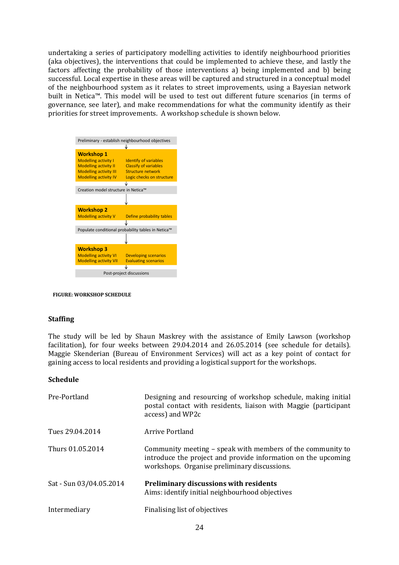undertaking a series of participatory modelling activities to identify neighbourhood priorities (aka objectives), the interventions that could be implemented to achieve these, and lastly the factors affecting the probability of those interventions a) being implemented and b) being successful. Local expertise in these areas will be captured and structured in a conceptual model of the neighbourhood system as it relates to street improvements, using a Bayesian network built in Netica™. This model will be used to test out different future scenarios (in terms of governance, see later), and make recommendations for what the community identify as their priorities for street improvements. A workshop schedule is shown below.



**FIGURE: WORKSHOP SCHEDULE**

#### **Staffing**

The study will be led by Shaun Maskrey with the assistance of Emily Lawson (workshop facilitation), for four weeks between 29.04.2014 and 26.05.2014 (see schedule for details). Maggie Skenderian (Bureau of Environment Services) will act as a key point of contact for gaining access to local residents and providing a logistical support for the workshops.

#### **Schedule**

| Pre-Portland            | Designing and resourcing of workshop schedule, making initial<br>postal contact with residents, liaison with Maggie (participant<br>access) and WP2c                        |
|-------------------------|-----------------------------------------------------------------------------------------------------------------------------------------------------------------------------|
| Tues 29.04.2014         | Arrive Portland                                                                                                                                                             |
| Thurs 01.05.2014        | Community meeting – speak with members of the community to<br>introduce the project and provide information on the upcoming<br>workshops. Organise preliminary discussions. |
| Sat - Sun 03/04.05.2014 | Preliminary discussions with residents<br>Aims: identify initial neighbourhood objectives                                                                                   |
| Intermediary            | Finalising list of objectives                                                                                                                                               |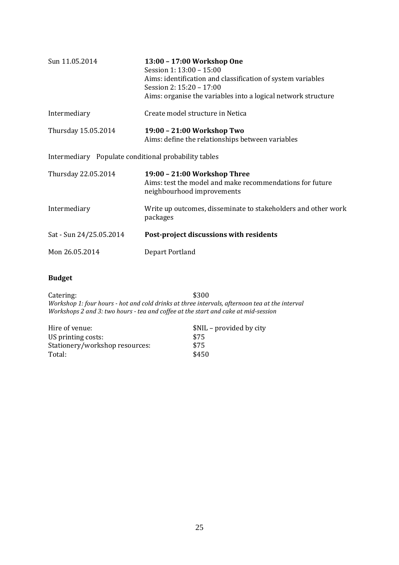| Sun 11.05.2014                                       | 13:00 - 17:00 Workshop One<br>Session 1: 13:00 - 15:00<br>Aims: identification and classification of system variables<br>Session 2: 15:20 - 17:00<br>Aims: organise the variables into a logical network structure |
|------------------------------------------------------|--------------------------------------------------------------------------------------------------------------------------------------------------------------------------------------------------------------------|
| Intermediary                                         | Create model structure in Netica                                                                                                                                                                                   |
| Thursday 15.05.2014                                  | 19:00 - 21:00 Workshop Two<br>Aims: define the relationships between variables                                                                                                                                     |
| Intermediary Populate conditional probability tables |                                                                                                                                                                                                                    |
| Thursday 22.05.2014                                  | 19:00 - 21:00 Workshop Three<br>Aims: test the model and make recommendations for future<br>neighbourhood improvements                                                                                             |
| Intermediary                                         | Write up outcomes, disseminate to stakeholders and other work<br>packages                                                                                                                                          |
| Sat - Sun 24/25.05.2014                              | Post-project discussions with residents                                                                                                                                                                            |
| Mon 26.05.2014                                       | Depart Portland                                                                                                                                                                                                    |

### **Budget**

Catering: \$300 *Workshop 1: four hours - hot and cold drinks at three intervals, afternoon tea at the interval Workshops 2 and 3: two hours - tea and coffee at the start and cake at mid-session*

| \$NIL - provided by city |
|--------------------------|
| \$75                     |
| \$75                     |
| \$450                    |
|                          |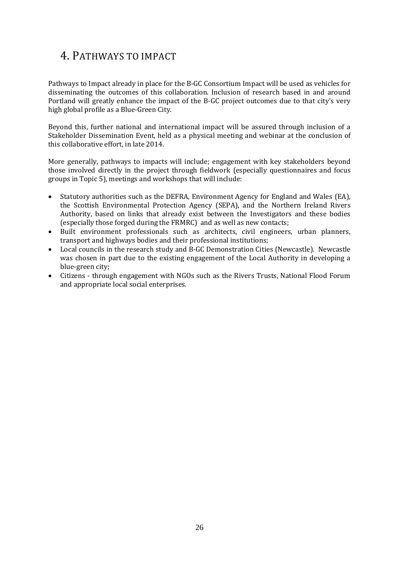## <span id="page-25-0"></span>4. PATHWAYS TO IMPACT

Pathways to Impact already in place for the B-GC Consortium Impact will be used as vehicles for disseminating the outcomes of this collaboration. Inclusion of research based in and around Portland will greatly enhance the impact of the B-GC project outcomes due to that city's very high global profile as a Blue-Green City.

Beyond this, further national and international impact will be assured through inclusion of a Stakeholder Dissemination Event, held as a physical meeting and webinar at the conclusion of this collaborative effort, in late 2014.

More generally, pathways to impacts will include; engagement with key stakeholders beyond those involved directly in the project through fieldwork (especially questionnaires and focus groups in Topic 5), meetings and workshops that will include:

- Statutory authorities such as the DEFRA, Environment Agency for England and Wales (EA), the Scottish Environmental Protection Agency (SEPA), and the Northern Ireland Rivers Authority, based on links that already exist between the Investigators and these bodies (especially those forged during the FRMRC) and as well as new contacts;
- Built environment professionals such as architects, civil engineers, urban planners, transport and highways bodies and their professional institutions;
- Local councils in the research study and B-GC Demonstration Cities (Newcastle). Newcastle was chosen in part due to the existing engagement of the Local Authority in developing a blue-green city;
- Citizens through engagement with NGOs such as the Rivers Trusts, National Flood Forum and appropriate local social enterprises.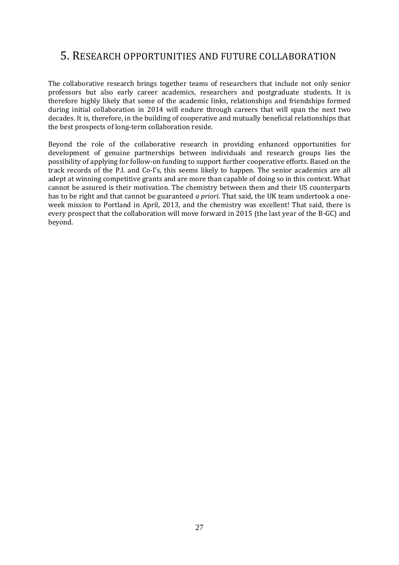## <span id="page-26-0"></span>5. RESEARCH OPPORTUNITIES AND FUTURE COLLABORATION

The collaborative research brings together teams of researchers that include not only senior professors but also early career academics, researchers and postgraduate students. It is therefore highly likely that some of the academic links, relationships and friendships formed during initial collaboration in 2014 will endure through careers that will span the next two decades. It is, therefore, in the building of cooperative and mutually beneficial relationships that the best prospects of long-term collaboration reside.

Beyond the role of the collaborative research in providing enhanced opportunities for development of genuine partnerships between individuals and research groups lies the possibility of applying for follow-on funding to support further cooperative efforts. Based on the track records of the P.I. and Co-I's, this seems likely to happen. The senior academics are all adept at winning competitive grants and are more than capable of doing so in this context. What cannot be assured is their motivation. The chemistry between them and their US counterparts has to be right and that cannot be guaranteed *a priori*. That said, the UK team undertook a oneweek mission to Portland in April, 2013, and the chemistry was excellent! That said, there is every prospect that the collaboration will move forward in 2015 (the last year of the B-GC) and beyond.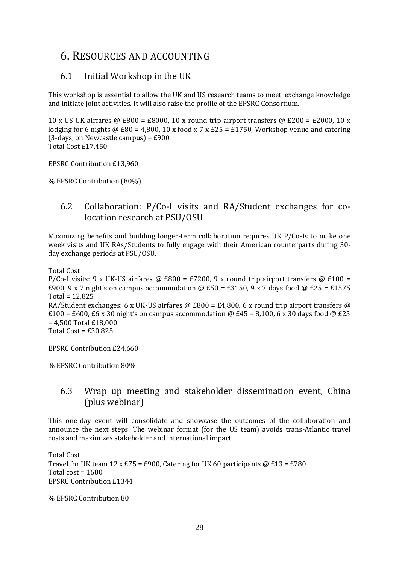## <span id="page-27-0"></span>6. RESOURCES AND ACCOUNTING

## <span id="page-27-1"></span>6.1 Initial Workshop in the UK

This workshop is essential to allow the UK and US research teams to meet, exchange knowledge and initiate joint activities. It will also raise the profile of the EPSRC Consortium.

10 x US-UK airfares @ £800 = £8000, 10 x round trip airport transfers @ £200 = £2000, 10 x lodging for 6 nights  $\omega$  £80 = 4,800, 10 x food x 7 x £25 = £1750, Workshop venue and catering  $(3-days, on Newton) = £900$ Total Cost £17,450

EPSRC Contribution £13,960

% EPSRC Contribution (80%)

## <span id="page-27-2"></span>6.2 Collaboration: P/Co-I visits and RA/Student exchanges for colocation research at PSU/OSU

Maximizing benefits and building longer-term collaboration requires UK P/Co-Is to make one week visits and UK RAs/Students to fully engage with their American counterparts during 30 day exchange periods at PSU/OSU.

Total Cost

P/Co-I visits: 9 x UK-US airfares @ £800 = £7200, 9 x round trip airport transfers @ £100 = £900, 9 x 7 night's on campus accommodation @ £50 = £3150, 9 x 7 days food @ £25 = £1575 Total = 12,825 RA/Student exchanges: 6 x UK-US airfares @ £800 = £4,800, 6 x round trip airport transfers @  $£100 = £600, £6 x 30$  night's on campus accommodation @ £45 = 8,100, 6 x 30 days food @ £25 = 4,500 Total £18,000

Total Cost =  $£30,825$ 

EPSRC Contribution £24,660

% EPSRC Contribution 80%

## <span id="page-27-3"></span>6.3 Wrap up meeting and stakeholder dissemination event, China (plus webinar)

This one-day event will consolidate and showcase the outcomes of the collaboration and announce the next steps. The webinar format (for the US team) avoids trans-Atlantic travel costs and maximizes stakeholder and international impact.

Total Cost Travel for UK team 12 x £75 = £900, Catering for UK 60 participants  $@E13 = £780$ Total cost  $= 1680$ EPSRC Contribution £1344

% EPSRC Contribution 80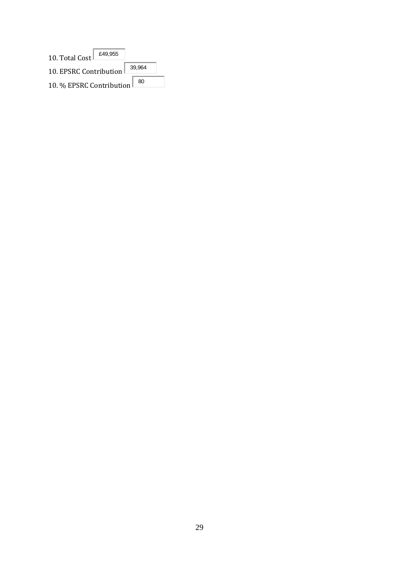| £49,955<br>10. Total Cost |        |
|---------------------------|--------|
| 10. EPSRC Contribution    | 39,964 |
| 10. % EPSRC Contribution  |        |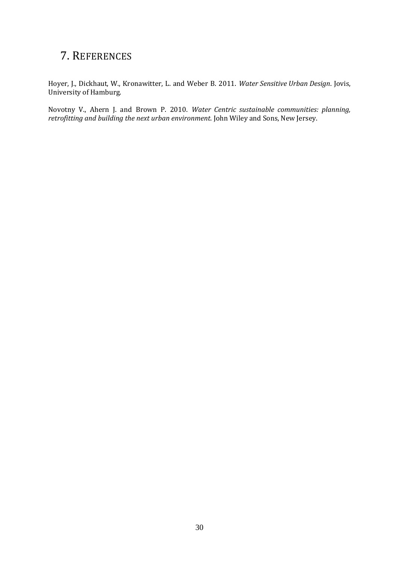## <span id="page-29-0"></span>7. REFERENCES

Hoyer, J., Dickhaut, W., Kronawitter, L. and Weber B. 2011. *Water Sensitive Urban Design*. Jovis, University of Hamburg.

Novotny V., Ahern J. and Brown P. 2010. *Water Centric sustainable communities: planning, retrofitting and building the next urban environment*. John Wiley and Sons, New Jersey.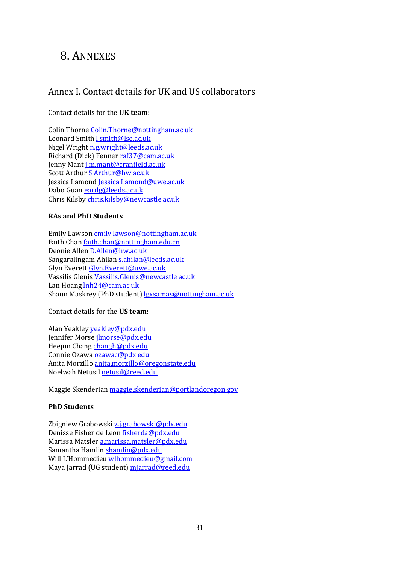## <span id="page-30-0"></span>8. ANNEXES

## <span id="page-30-1"></span>Annex I. Contact details for UK and US collaborators

#### Contact details for the **UK team**:

Colin Thorn[e Colin.Thorne@nottingham.ac.uk](mailto:Colin.Thorne@nottingham.ac.uk) Leonard Smit[h l.smith@lse.ac.uk](mailto:l.smith@lse.ac.uk) Nigel Wright [n.g.wright@leeds.ac.uk](mailto:n.g.wright@leeds.ac.uk) Richard (Dick) Fenner [raf37@cam.ac.uk](mailto:raf37@cam.ac.uk) Jenny Man[t j.m.mant@cranfield.ac.uk](mailto:j.m.mant@cranfield.ac.uk) Scott Arthur [S.Arthur@hw.ac.uk](mailto:S.Arthur@hw.ac.uk) Jessica Lamond [Jessica.Lamond@uwe.ac.uk](mailto:Jessica.Lamond@uwe.ac.uk) Dabo Gua[n eardg@leeds.ac.uk](mailto:eardg@leeds.ac.uk) Chris Kilsb[y chris.kilsby@newcastle.ac.uk](mailto:chris.kilsby@newcastle.ac.uk)

#### **RAs and PhD Students**

Emily Lawso[n emily.lawson@nottingham.ac.uk](mailto:emily.lawson@nottingham.ac.uk) Faith Cha[n faith.chan@nottingham.edu.cn](mailto:faith.chan@nottingham.edu.cn) Deonie Allen [D.Allen@hw.ac.uk](mailto:D.Allen@hw.ac.uk) Sangaralingam Ahilan [s.ahilan@leeds.ac.uk](mailto:s.ahilan@leeds.ac.uk) Glyn Everett [Glyn.Everett@uwe.ac.uk](mailto:Glyn.Everett@uwe.ac.uk) Vassilis Glenis [Vassilis.Glenis@newcastle.ac.uk](mailto:Vassilis.Glenis@newcastle.ac.uk) Lan Hoan[g lnh24@cam.ac.uk](mailto:lnh24@cam.ac.uk) Shaun Maskrey (PhD student) [lgxsamas@nottingham.ac.uk](mailto:lgxsamas@nottingham.ac.uk)

#### Contact details for the **US team:**

Alan Yeakley [yeakley@pdx.edu](mailto:yeakley@pdx.edu) Jennifer Mors[e jlmorse@pdx.edu](mailto:jlmorse@pdx.edu) Heejun Chan[g changh@pdx.edu](mailto:changh@pdx.edu) Connie Ozawa [ozawac@pdx.edu](mailto:ozawac@pdx.edu) Anita Morzillo [anita.morzillo@oregonstate.edu](mailto:anita.morzillo@oregonstate.edu) Noelwah Netusil [netusil@reed.edu](mailto:netusil@reed.edu)

Maggie Skenderian [maggie.skenderian@portlandoregon.gov](mailto:maggie.skenderian@portlandoregon.gov)

#### **PhD Students**

Zbigniew Grabowski [z.j.grabowski@pdx.edu](mailto:z.j.grabowski@pdx.edu) Denisse Fisher de Leo[n fisherda@pdx.edu](mailto:fisherda@pdx.edu) Marissa Matsle[r a.marissa.matsler@pdx.edu](mailto:a.marissa.matsler@pdx.edu) Samantha Hamlin [shamlin@pdx.edu](mailto:shamlin@pdx.edu) Will L'Hommedieu [wlhommedieu@gmail.com](mailto:wlhommedieu@gmail.com) Maya Jarrad (UG student[\) mjarrad@reed.edu](mailto:mjarrad@reed.edu)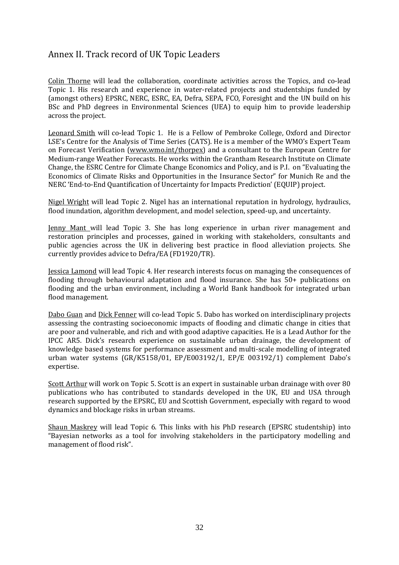## <span id="page-31-0"></span>Annex II. Track record of UK Topic Leaders

Colin Thorne will lead the collaboration, coordinate activities across the Topics, and co-lead Topic 1. His research and experience in water-related projects and studentships funded by (amongst others) EPSRC, NERC, ESRC, EA, Defra, SEPA, FCO, Foresight and the UN build on his BSc and PhD degrees in Environmental Sciences (UEA) to equip him to provide leadership across the project.

Leonard Smith will co-lead Topic 1. He is a Fellow of Pembroke College, Oxford and Director LSE's Centre for the Analysis of Time Series (CATS). He is a member of the WMO's Expert Team on Forecast Verification [\(www.wmo.int/thorpex\)](http://www.wmo.int/thorpex) and a consultant to the European Centre for Medium-range Weather Forecasts. He works within the Grantham Research Institute on Climate Change, the ESRC Centre for Climate Change Economics and Policy, and is P.I. on "Evaluating the Economics of Climate Risks and Opportunities in the Insurance Sector" for Munich Re and the NERC 'End-to-End Quantification of Uncertainty for Impacts Prediction' (EQUIP) project.

Nigel Wright will lead Topic 2. Nigel has an international reputation in hydrology, hydraulics, flood inundation, algorithm development, and model selection, speed-up, and uncertainty.

Jenny Mant will lead Topic 3. She has long experience in urban river management and restoration principles and processes, gained in working with stakeholders, consultants and public agencies across the UK in delivering best practice in flood alleviation projects. She currently provides advice to Defra/EA (FD1920/TR).

Jessica Lamond will lead Topic 4. Her research interests focus on managing the consequences of flooding through behavioural adaptation and flood insurance. She has 50+ publications on flooding and the urban environment, including a World Bank handbook for integrated urban flood management.

Dabo Guan and Dick Fenner will co-lead Topic 5. Dabo has worked on interdisciplinary projects assessing the contrasting socioeconomic impacts of flooding and climatic change in cities that are poor and vulnerable, and rich and with good adaptive capacities. He is a Lead Author for the IPCC AR5. Dick's research experience on sustainable urban drainage, the development of knowledge based systems for performance assessment and multi-scale modelling of integrated urban water systems (GR/K5158/01, EP/E003192/1, EP/E 003192/1) complement Dabo's expertise.

Scott Arthur will work on Topic 5. Scott is an expert in sustainable urban drainage with over 80 publications who has contributed to standards developed in the UK, EU and USA through research supported by the EPSRC, EU and Scottish Government, especially with regard to wood dynamics and blockage risks in urban streams.

Shaun Maskrey will lead Topic 6. This links with his PhD research (EPSRC studentship) into "Bayesian networks as a tool for involving stakeholders in the participatory modelling and management of flood risk".